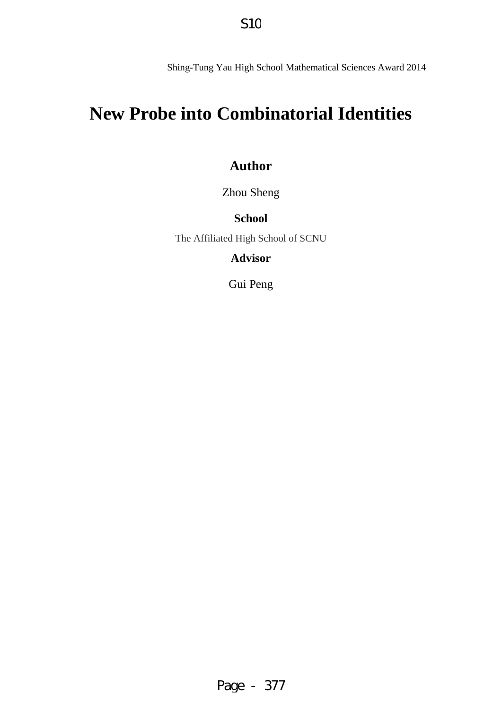Shing-Tung Yau High School Mathematical Sciences Award 2014

# **New Probe into Combinatorial Identities**

# **Author**

Zhou Sheng

# **School**

The Affiliated High School of SCNU

**Advisor** 

Gui Peng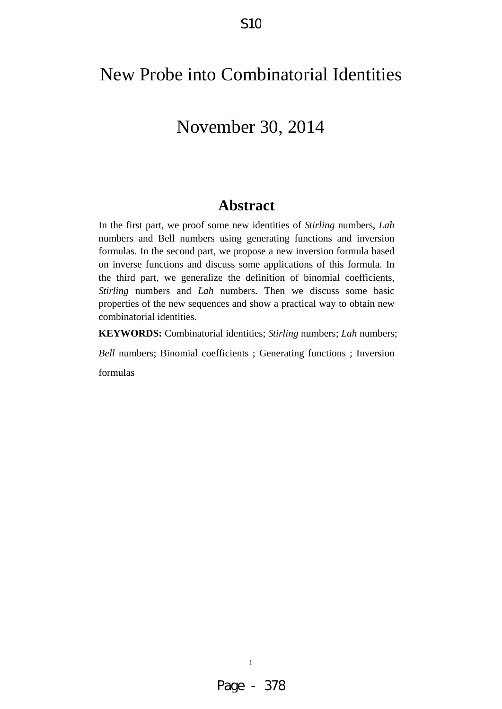# New Probe into Combinatorial Identities

# November 30, 2014

# **Abstract**

In the first part, we proof some new identities of *Stirling* numbers, *Lah* numbers and Bell numbers using generating functions and inversion formulas. In the second part, we propose a new inversion formula based on inverse functions and discuss some applications of this formula. In the third part, we generalize the definition of binomial coefficients, *Stirling* numbers and *Lah* numbers. Then we discuss some basic properties of the new sequences and show a practical way to obtain new combinatorial identities.

**KEYWORDS:** Combinatorial identities; *Stirling* numbers; *Lah* numbers;

*Bell* numbers; Binomial coefficients ; Generating functions ; Inversion

formulas

1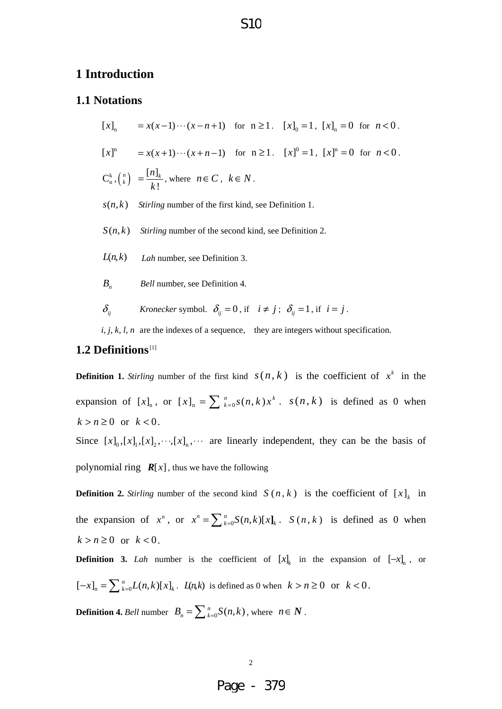#### **1 Introduction**

#### **1.1 Notations**

 $[x]_n$  =  $x(x-1)\cdots(x-n+1)$  for  $n \ge 1$ .  $[x]_0 = 1$ ,  $[x]_n = 0$  for  $n < 0$ .  $[x]$ <sup>n</sup> =  $x(x+1)\cdots(x+n-1)$  for  $n \ge 1$ .  $[x]$ <sup>0</sup> = 1,  $[x]$ <sup>n</sup> = 0 for  $n < 0$ .  $\mathsf{C}_{\mathsf{n}}^{\mathsf{k}}$  ,  $\left(\frac{\mathsf{n}}{\mathsf{k}}\right)$  $[n]$ !  $=\frac{[n]_k}{k!}$ , where  $n \in C$ ,  $k \in N$ .  $s(n, k)$  *Stirling* number of the first kind, see Definition 1.

- $S(n, k)$  *Stirling* number of the second kind, see Definition 2.
- $L(n, k)$  *Lah* number, see Definition 3.
- *B<sub>n</sub> Bell* number, see Definition 4.

 $\delta_{ij}$  *Kronecker* symbol.  $\delta_{ij} = 0$ , if  $i \neq j$ ;  $\delta_{ij} = 1$ , if  $i = j$ .

*i, j, k, l, n* are the indexes of a sequence, they are integers without specification.

#### **1.2 Definitions**[1]

**Definition 1.** *Stirling* number of the first kind  $s(n, k)$  is the coefficient of  $x^k$  in the expansion of  $[x]_n$ , or  $[x]_n = \sum_{k=0}^n s(n,k)x^k$ .  $s(n, k)$  is defined as 0 when  $k > n \geq 0$  or  $k < 0$ . Since  $[x]_0$ ,  $[x]_1$ ,  $[x]_2$ ,  $\cdots$ ,  $[x]_n$ ,  $\cdots$  are linearly independent, they can be the basis of polynomial ring  $R[x]$ , thus we have the following

**Definition 2.** *Stirling* number of the second kind  $S(n, k)$  is the coefficient of  $[x]_k$  in the expansion of  $x^n$ , or  $x^n = \sum_{k=0}^n S(n,k)[x]_k$ .  $S(n, k)$  is defined as 0 when  $k > n \geq 0$  or  $k < 0$ .

**Definition 3.** *Lah* number is the coefficient of  $[x]_k$  in the expansion of  $[-x]_n$ , or  $[-x]_n = \sum_{k=0}^n L(n,k)[x]_k$ .  $L(n,k)$  is defined as 0 when  $k > n \ge 0$  or  $k < 0$ .

**Definition 4.** *Bell* number  $B_n = \sum_{k=0}^n S(n,k)$ , where  $n \in \mathbb{N}$ .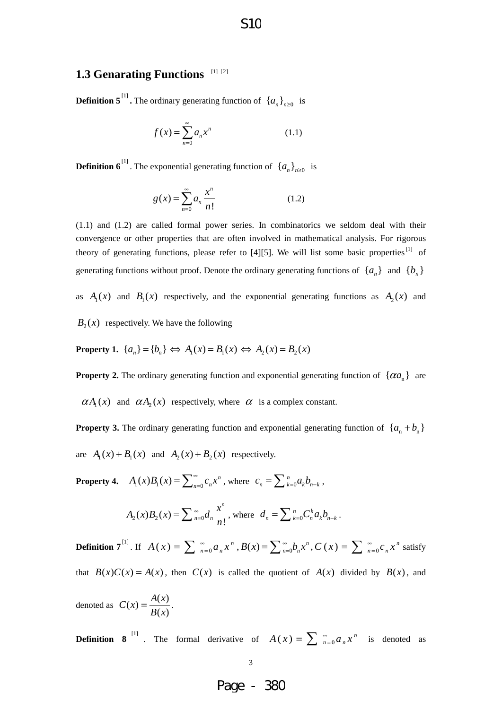#### S10

#### **1.3 Genarating Functions** [1] [2]

**Definition 5**<sup>[1]</sup>. The ordinary generating function of  $\{a_n\}_{n\geq 0}$  is

$$
f(x) = \sum_{n=0}^{\infty} a_n x^n
$$
 (1.1)

**Definition 6**<sup>[1]</sup>. The exponential generating function of  $\{a_n\}_{n\geq 0}$  is

$$
g(x) = \sum_{n=0}^{\infty} a_n \frac{x^n}{n!}
$$
 (1.2)

(1.1) and (1.2) are called formal power series. In combinatorics we seldom deal with their convergence or other properties that are often involved in mathematical analysis. For rigorous theory of generating functions, please refer to  $[4][5]$ . We will list some basic properties<sup>[1]</sup> of generating functions without proof. Denote the ordinary generating functions of  $\{a_n\}$  and  $\{b_n\}$ 

as  $A_1(x)$  and  $B_1(x)$  respectively, and the exponential generating functions as  $A_2(x)$  and

 $B<sub>2</sub>(x)$  respectively. We have the following

**Property 1.**  ${a_n} = {b_n} \Leftrightarrow A_1(x) = B_1(x) \Leftrightarrow A_2(x) = B_2(x)$ 

**Property 2.** The ordinary generating function and exponential generating function of  $\{\alpha a_{n}\}\$ are

 $\alpha A_1(x)$  and  $\alpha A_2(x)$  respectively, where  $\alpha$  is a complex constant.

**Property 3.** The ordinary generating function and exponential generating function of  $\{a_n + b_n\}$ are  $A_1(x) + B_1(x)$  and  $A_2(x) + B_2(x)$  respectively.

**Property 4.**  $A_1(x)B_1(x) = \sum_{n=0}^{\infty} c_n x^n$ , where  $c_n = \sum_{k=0}^{n} a_k b_{n-k}$ ,

$$
A_2(x)B_2(x) = \sum_{n=0}^{\infty} d_n \frac{x^n}{n!}
$$
, where  $d_n = \sum_{k=0}^{n} C_n^k a_k b_{n-k}$ .

**Definition 7**<sup>[1]</sup>. If  $A(x) = \sum_{n=0}^{\infty} a_n x^n$ ,  $B(x) = \sum_{n=0}^{\infty} b_n x^n$ ,  $C(x) = \sum_{n=0}^{\infty} c_n x^n$  satisfy that  $B(x)C(x) = A(x)$ , then  $C(x)$  is called the quotient of  $A(x)$  divided by  $B(x)$ , and

denoted as  $C(x) = \frac{A(x)}{B(x)}$ .

**Definition 8**<sup>[1]</sup>. The formal derivative of  $A(x) = \sum_{n=0}^{\infty} a_n x^n$  is denoted as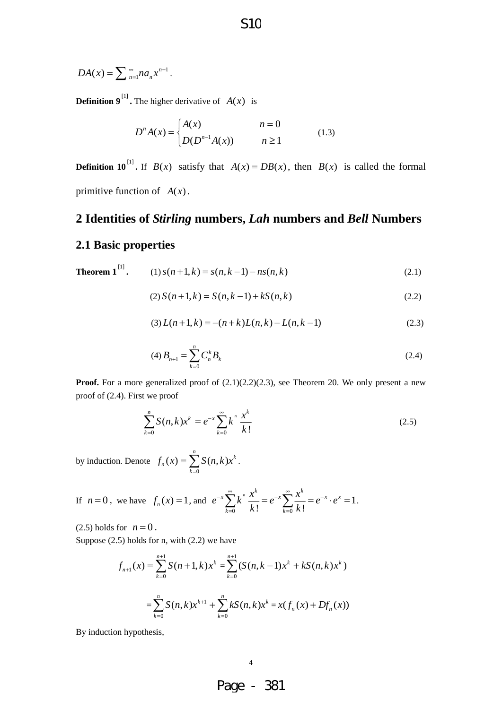$$
DA(x) = \sum_{n=1}^{\infty} na_n x^{n-1}.
$$

**Definition 9**<sup>[1]</sup>. The higher derivative of  $A(x)$  is

$$
D^{n} A(x) = \begin{cases} A(x) & n = 0 \\ D(D^{n-1} A(x)) & n \ge 1 \end{cases}
$$
 (1.3)

**Definition 10**<sup>[1]</sup>. If  $B(x)$  satisfy that  $A(x) = DB(x)$ , then  $B(x)$  is called the formal primitive function of  $A(x)$ .

# **2 Identities of** *Stirling* **numbers,** *Lah* **numbers and** *Bell* **Numbers**

#### **2.1 Basic properties**

**Theorem 1**<sup>[1]</sup>. (1) 
$$
s(n+1,k) = s(n,k-1) - ns(n,k)
$$
 (2.1)

$$
(2) S(n+1,k) = S(n,k-1) + kS(n,k)
$$
\n(2.2)

$$
(3) L(n+1,k) = -(n+k)L(n,k) - L(n,k-1)
$$
\n(2.3)

$$
(4) B_{n+1} = \sum_{k=0}^{n} C_n^k B_k
$$
 (2.4)

**Proof.** For a more generalized proof of  $(2.1)(2.2)(2.3)$ , see Theorem 20. We only present a new proof of (2.4). First we proof

$$
\sum_{k=0}^{n} S(n,k)x^{k} = e^{-x} \sum_{k=0}^{\infty} k^{n} \frac{x^{k}}{k!}
$$
 (2.5)

by induction. Denote  $\mathbf{0}$  $f(x) = \sum_{n=0}^{n} S(n, k)x^{k}$ *n k*  $f_n(x) = \sum S(n, k)$  $=\sum_{k=0} S(n,k)x^{k}.$ 

If 
$$
n = 0
$$
, we have  $f_n(x) = 1$ , and  $e^{-x} \sum_{k=0}^{\infty} k^n \frac{x^k}{k!} = e^{-x} \sum_{k=0}^{\infty} \frac{x^k}{k!} = e^{-x} \cdot e^x = 1$ .

 $(2.5)$  holds for  $n = 0$ .

Suppose (2.5) holds for n, with (2.2) we have

4

$$
f_{n+1}(x) = \sum_{k=0}^{n+1} S(n+1,k)x^{k} = \sum_{k=0}^{n+1} (S(n,k-1)x^{k} + kS(n,k)x^{k})
$$
  
= 
$$
\sum_{k=0}^{n} S(n,k)x^{k+1} + \sum_{k=0}^{n} kS(n,k)x^{k} = x(f_{n}(x) + Df_{n}(x))
$$

By induction hypothesis,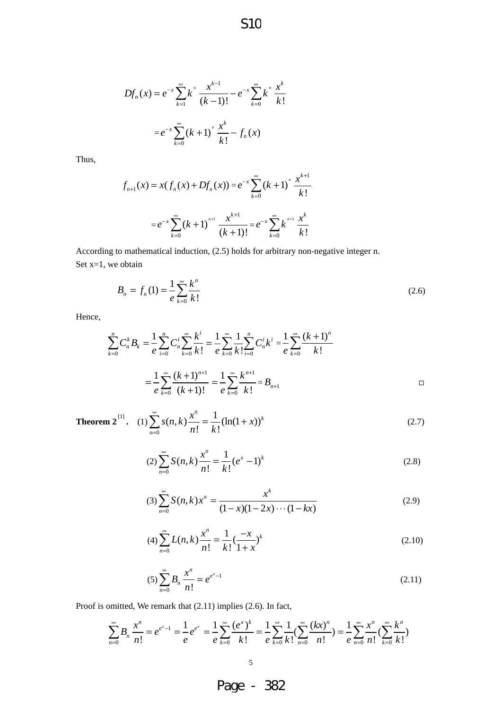S10

$$
Df_n(x) = e^{-x} \sum_{k=1}^{\infty} k^n \frac{x^{k-1}}{(k-1)!} - e^{-x} \sum_{k=0}^{\infty} k^n \frac{x^k}{k!}
$$

$$
= e^{-x} \sum_{k=0}^{\infty} (k+1)^n \frac{x^k}{k!} - f_n(x)
$$

Thus,

$$
f_{n+1}(x) = x(f_n(x) + Df_n(x)) = e^{-x} \sum_{k=0}^{\infty} (k+1)^n \frac{x^{k+1}}{k!}
$$

$$
= e^{-x} \sum_{k=0}^{\infty} (k+1)^{n+1} \frac{x^{k+1}}{(k+1)!} = e^{-x} \sum_{k=0}^{\infty} k^{n+1} \frac{x^k}{k!}
$$

According to mathematical induction, (2.5) holds for arbitrary non-negative integer n. Set  $x=1$ , we obtain

$$
B_n = f_n(1) = \frac{1}{e} \sum_{k=0}^{\infty} \frac{k^n}{k!}
$$
 (2.6)

Hence,

$$
\sum_{k=0}^{n} C_{n}^{k} B_{k} = \frac{1}{e} \sum_{i=0}^{n} C_{n}^{i} \sum_{k=0}^{\infty} \frac{k^{i}}{k!} = \frac{1}{e} \sum_{k=0}^{\infty} \frac{1}{k!} \sum_{i=0}^{n} C_{n}^{i} k^{i} = \frac{1}{e} \sum_{k=0}^{\infty} \frac{(k+1)^{n}}{k!}
$$

$$
= \frac{1}{e} \sum_{k=0}^{\infty} \frac{(k+1)^{n+1}}{(k+1)!} = \frac{1}{e} \sum_{k=0}^{\infty} \frac{k^{n+1}}{k!} = B_{n+1}
$$

**Theorem 2**<sup>[1]</sup>. (1) 
$$
\sum_{n=0}^{\infty} s(n,k) \frac{x^n}{n!} = \frac{1}{k!} (\ln(1+x))^k
$$
 (2.7)

$$
(2)\sum_{n=0}^{\infty} S(n,k)\frac{x^n}{n!} = \frac{1}{k!} (e^x - 1)^k
$$
\n(2.8)

$$
(3)\sum_{n=0}^{\infty} S(n,k)x^{n} = \frac{x^{k}}{(1-x)(1-2x)\cdots(1-kx)}
$$
\n(2.9)

$$
(4) \sum_{n=0}^{\infty} L(n,k) \frac{x^n}{n!} = \frac{1}{k!} \left(\frac{-x}{1+x}\right)^k
$$
\n(2.10)

$$
(5)\sum_{n=0}^{\infty} B_n \frac{x^n}{n!} = e^{e^x - 1}
$$
\n(2.11)

Proof is omitted, We remark that (2.11) implies (2.6). In fact,

$$
\sum_{n=0}^{\infty} B_n \frac{x^n}{n!} = e^{e^x - 1} = \frac{1}{e} e^{e^x} = \frac{1}{e} \sum_{k=0}^{\infty} \frac{(e^x)^k}{k!} = \frac{1}{e} \sum_{k=0}^{\infty} \frac{1}{k!} (\sum_{n=0}^{\infty} \frac{(kx)^n}{n!}) = \frac{1}{e} \sum_{n=0}^{\infty} \frac{x^n}{n!} (\sum_{k=0}^{\infty} \frac{k^n}{k!})
$$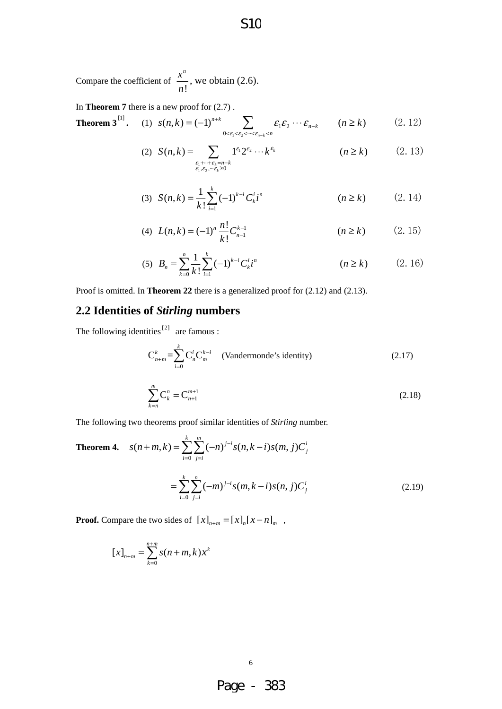Compare the coefficient of  $\frac{n}{n!}$ *n x n* , we obtain (2.6).

In **Theorem 7** there is a new proof for (2.7) .

**Theorem 3**<sup>[1]</sup>. (1) 
$$
s(n,k) = (-1)^{n+k} \sum_{0 < \varepsilon_1 < \varepsilon_2 < \dots < \varepsilon_{n-k}} \mathcal{E}_1 \mathcal{E}_2 \cdots \mathcal{E}_{n-k} \qquad (n \ge k)
$$
 (2.12)

(2) 
$$
S(n,k) = \sum_{\substack{\varepsilon_1 + \dots + \varepsilon_k = n-k \\ \varepsilon_1, \varepsilon_2, \dots \varepsilon_k \ge 0}} 1^{\varepsilon_1} 2^{\varepsilon_2} \dots k^{\varepsilon_k} \qquad (n \ge k)
$$
 (2.13)

(3) 
$$
S(n,k) = \frac{1}{k!} \sum_{i=1}^{k} (-1)^{k-i} C_k^{i} i^{n}
$$
 \t\t\t $(n \ge k)$  \t\t(2.14)

(4) 
$$
L(n,k) = (-1)^n \frac{n!}{k!} C_{n-1}^{k-1}
$$
 \t\t\t $(n \ge k)$  \t\t(2. 15)

(5) 
$$
B_n = \sum_{k=0}^n \frac{1}{k!} \sum_{i=1}^k (-1)^{k-i} C_k^i i^n
$$
  $(n \ge k)$  (2. 16)

Proof is omitted. In **Theorem 22** there is a generalized proof for (2.12) and (2.13).

# **2.2 Identities of** *Stirling* **numbers**

The following identities  $[2]$  are famous :

$$
C_{n+m}^{k} = \sum_{i=0}^{k} C_{n}^{i} C_{m}^{k-i}
$$
 (Vandermonde's identity) (2.17)

$$
\sum_{k=n}^{m} \mathbf{C}_{k}^{n} = \mathbf{C}_{n+1}^{m+1} \tag{2.18}
$$

The following two theorems proof similar identities of *Stirling* number.

**Theorem 4.** 
$$
s(n+m, k) = \sum_{i=0}^{k} \sum_{j=i}^{m} (-n)^{j-i} s(n, k-i) s(m, j) C_{j}^{i}
$$

$$
= \sum_{i=0}^{k} \sum_{j=i}^{n} (-m)^{j-i} s(m, k-i) s(n, j) C_{j}^{i}
$$
(2.19)

**Proof.** Compare the two sides of  $[x]_{n+m} = [x]_n [x - n]_m$ ,

$$
[x]_{n+m} = \sum_{k=0}^{n+m} s(n+m, k) x^{k}
$$

 $\sim$  6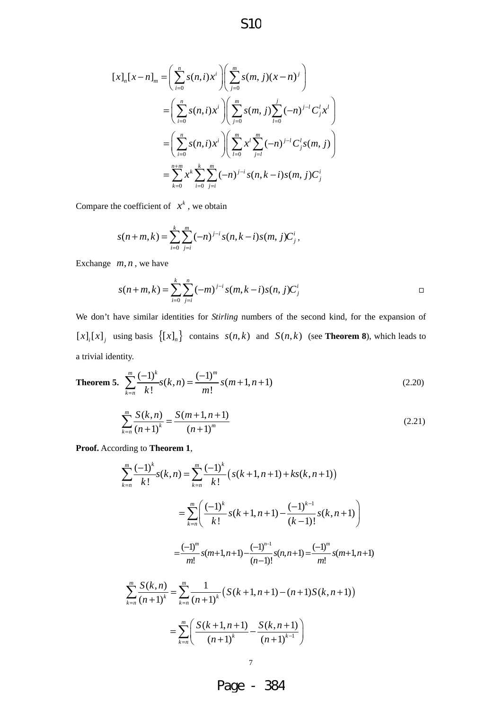S10

$$
[x]_n[x-n]_m = \left(\sum_{i=0}^n s(n,i)x^i\right) \left(\sum_{j=0}^m s(m,j)(x-n)^j\right)
$$
  

$$
= \left(\sum_{i=0}^n s(n,i)x^i\right) \left(\sum_{j=0}^m s(m,j)\sum_{l=0}^j (-n)^{j-l} C_j^l x^l\right)
$$
  

$$
= \left(\sum_{i=0}^n s(n,i)x^i\right) \left(\sum_{l=0}^m x^l\sum_{j=l}^m (-n)^{j-l} C_j^l s(m,j)\right)
$$
  

$$
= \sum_{k=0}^{n+m} x^k \sum_{i=0}^k \sum_{j=i}^m (-n)^{j-i} s(n,k-i)s(m,j) C_j^i
$$

Compare the coefficient of  $x^k$ , we obtain

$$
s(n+m, k) = \sum_{i=0}^{k} \sum_{j=i}^{m} (-n)^{j-i} s(n, k-i) s(m, j) C_j^{i},
$$

Exchange  $m, n$ , we have

$$
s(n+m,k) = \sum_{i=0}^{k} \sum_{j=i}^{n} (-m)^{j-i} s(m,k-i) s(n,j) C_j^{i}
$$

We don't have similar identities for *Stirling* numbers of the second kind, for the expansion of  $[x]_i[x]_j$  using basis  $\{[x]_n\}$  contains  $s(n, k)$  and  $S(n, k)$  (see **Theorem 8**), which leads to a trivial identity.

**Theorem 5.** 
$$
\sum_{k=n}^{m} \frac{(-1)^k}{k!} s(k,n) = \frac{(-1)^m}{m!} s(m+1,n+1)
$$
 (2.20)

$$
\sum_{k=n}^{m} \frac{S(k,n)}{(n+1)^k} = \frac{S(m+1,n+1)}{(n+1)^m}
$$
\n(2.21)

**Proof.** According to **Theorem 1**,

$$
\sum_{k=n}^{m} \frac{(-1)^{k}}{k!} s(k, n) = \sum_{k=n}^{m} \frac{(-1)^{k}}{k!} \left( s(k+1, n+1) + ks(k, n+1) \right)
$$
  
\n
$$
= \sum_{k=n}^{m} \left( \frac{(-1)^{k}}{k!} s(k+1, n+1) - \frac{(-1)^{k-1}}{(k-1)!} s(k, n+1) \right)
$$
  
\n
$$
= \frac{(-1)^{m}}{m!} s(m+1, n+1) - \frac{(-1)^{n-1}}{(n-1)!} s(n, n+1) = \frac{(-1)^{m}}{m!} s(m+1, n+1)
$$
  
\n
$$
\sum_{k=n}^{m} \frac{S(k, n)}{(n+1)^{k}} = \sum_{k=n}^{m} \frac{1}{(n+1)^{k}} \left( S(k+1, n+1) - (n+1)S(k, n+1) \right)
$$
  
\n
$$
= \sum_{k=n}^{m} \left( \frac{S(k+1, n+1)}{(n+1)^{k}} - \frac{S(k, n+1)}{(n+1)^{k-1}} \right)
$$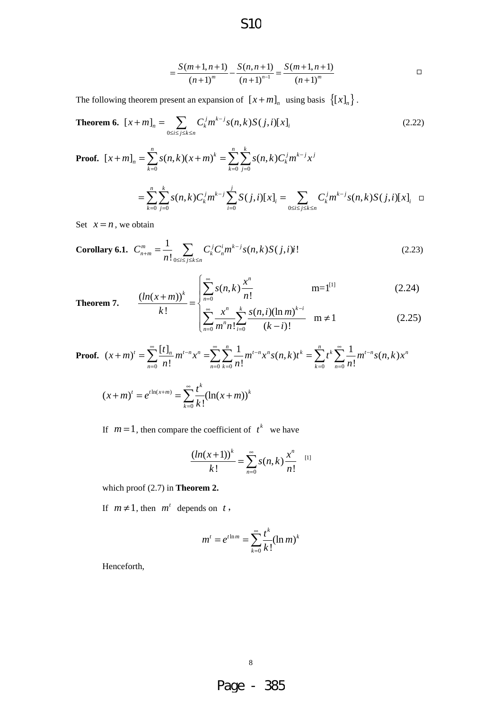$$
=\frac{S(m+1,n+1)}{(n+1)^m} - \frac{S(n,n+1)}{(n+1)^{n-1}} = \frac{S(m+1,n+1)}{(n+1)^m}
$$

The following theorem present an expansion of  $[x + m]_n$  using basis  $\{[x]_n\}$ .

**Theorem 6.** 
$$
[x+m]_n = \sum_{0 \le i \le j \le k \le n} C_k^j m^{k-j} s(n,k) S(j,i)[x]_i
$$
 (2.22)

S10

Proof. 
$$
[x+m]_n = \sum_{k=0}^n s(n,k)(x+m)^k = \sum_{k=0}^n \sum_{j=0}^k s(n,k)C_k^j m^{k-j} x^j
$$

$$
= \sum_{k=0}^n \sum_{j=0}^k s(n,k)C_k^j m^{k-j} \sum_{i=0}^j S(j,i)[x]_i = \sum_{0 \le i \le j \le k \le n} C_k^j m^{k-j} s(n,k)S(j,i)[x]_i \quad \Box
$$

Set  $x = n$ , we obtain

Corollary 6.1. 
$$
C_{n+m}^{m} = \frac{1}{n!} \sum_{0 \le i \le j \le k \le n} C_k^j C_n^j m^{k-j} s(n,k) S(j,i) i!
$$
 (2.23)

$$
\frac{(ln(x+m))^{k}}{k!} = \begin{cases} \sum_{n=0}^{\infty} s(n,k) \frac{x^{n}}{n!} & \text{m=1}^{[1]} \\ \sum_{n=0}^{\infty} s(n,k) \frac{x^{n}}{n!} & \text{m=1}^{[1]} \end{cases}
$$
(2.24)

**Theorem 7.** 
$$
\frac{(m(x+m))}{k!} = \begin{cases} \sum_{n=0}^{n=0} x^n & n \end{cases}
$$

$$
\sum_{n=0}^{\infty} \frac{x^n}{m^n n!} \sum_{i=0}^k \frac{s(n,i)(\ln m)^{k-i}}{(k-i)!} \quad m \neq 1
$$
 (2.25)

**Proof.**  $(x+m)^t = \sum_{n=0}^{\infty} \frac{[t]_n}{n!} m^{t-n} x^n = \sum_{n=0}^{\infty} \sum_{k=0}^n \frac{1}{n!} m^{t-n} x^n s(n,k) t^k = \sum_{k=0}^n t^k \sum_{n=0}^{\infty} \frac{1}{n!} m^{t-n} s(n,k)$  $n=0$  *H*:  $n=0$   $k=0$  *H*:  $k=0$  *n*  $f(x+m)' = \sum_{n=0}^{\infty} \frac{[t]_n}{m!} m^{t-n} x^n = \sum_{n=0}^{\infty} \sum_{n=0}^{\infty} \frac{1}{n!} m^{t-n} x^n s(n,k) t^k = \sum_{n=0}^{\infty} t^n \sum_{n=0}^{\infty} \frac{1}{n!} m^{t-n} s(n,k) x^n$  $n!$   $\sum_{n=0}^{\infty} \sum_{k=0}^{n} n!$   $\sum_{n=0}^{\infty} n$  $\sum_{m=1}^{\infty} [t]_{n+m} t^{-n} x^{n} = \sum_{m=1}^{\infty} \sum_{m=1}^{n} \frac{1}{m} t^{-n} x^{n} g(n-k) t^{k} = \sum_{m=1}^{n} t^{k} \sum_{m=1}^{\infty} \frac{1}{m} t^{-k}$  $(m+n)^t = \sum_{n=0}^{\infty} \frac{[t]_n}{n!} m^{t-n} x^n = \sum_{n=0}^{\infty} \sum_{k=0}^{\infty} \frac{1}{n!} m^{t-n} x^n s(n,k) t^k = \sum_{k=0}^{\infty} t^k \sum_{n=0}^{\infty}$ 

$$
(x+m)^{t} = e^{t\ln(x+m)} = \sum_{k=0}^{\infty} \frac{t^{k}}{k!} (\ln(x+m))^{k}
$$

If  $m = 1$ , then compare the coefficient of  $t^k$  we have

$$
\frac{(ln(x+1))^k}{k!} = \sum_{n=0}^{\infty} s(n,k) \frac{x^n}{n!}
$$
 [1]

which proof (2.7) in **Theorem 2.**

If  $m \neq 1$ , then  $m^t$  depends on  $t$ ,

$$
m^t = e^{t \ln m} = \sum_{k=0}^{\infty} \frac{t^k}{k!} (\ln m)^k
$$

Henceforth,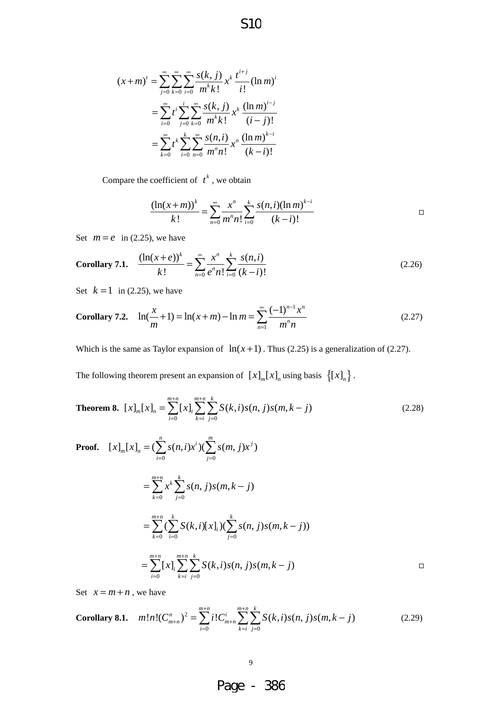$$
(x+m)^{t} = \sum_{j=0}^{\infty} \sum_{k=0}^{\infty} \sum_{i=0}^{\infty} \frac{s(k,j)}{m^{k}k!} x^{k} \frac{t^{i+j}}{i!} (\ln m)^{i}
$$

$$
= \sum_{i=0}^{\infty} t^{i} \sum_{j=0}^{i} \sum_{k=0}^{\infty} \frac{s(k,j)}{m^{k}k!} x^{k} \frac{(\ln m)^{i-j}}{(i-j)!}
$$

$$
= \sum_{k=0}^{\infty} t^{k} \sum_{i=0}^{k} \sum_{n=0}^{\infty} \frac{s(n,i)}{m^{n}n!} x^{n} \frac{(\ln m)^{k-i}}{(k-i)!}
$$

Compare the coefficient of  $t^k$ , we obtain

$$
\frac{\left(\ln(x+m)\right)^{k}}{k!} = \sum_{n=0}^{\infty} \frac{x^{n}}{m^{n}n!} \sum_{i=0}^{k} \frac{s(n,i)(\ln m)^{k-i}}{(k-i)!}
$$

Set  $m = e$  in (2.25), we have

Corollary 7.1. 
$$
\frac{(\ln(x+e))^k}{k!} = \sum_{n=0}^{\infty} \frac{x^n}{e^n n!} \sum_{i=0}^k \frac{s(n,i)}{(k-i)!}
$$
 (2.26)

S10

Set  $k = 1$  in (2.25), we have

Corollary 7.2. 
$$
\ln(\frac{x}{m} + 1) = \ln(x + m) - \ln m = \sum_{n=1}^{\infty} \frac{(-1)^{n-1} x^n}{m^n n}
$$
 (2.27)

Which is the same as Taylor expansion of  $ln(x + 1)$ . Thus (2.25) is a generalization of (2.27).

The following theorem present an expansion of  $[x]_m[x]_n$  using basis  $\{[x]_n\}$ .

**Theorem 8.** 
$$
[x]_m[x]_n = \sum_{i=0}^{m+n} [x]_i \sum_{k=i}^{m+n} \sum_{j=0}^k S(k,i)s(n,j)s(m,k-j)
$$
 (2.28)

Proof. 
$$
[x]_{m}[x]_{n} = (\sum_{i=0}^{n} s(n,i)x^{i})(\sum_{j=0}^{m} s(m,j)x^{j})
$$
  
\n
$$
= \sum_{k=0}^{m+n} x^{k} \sum_{j=0}^{k} s(n,j)s(m,k-j)
$$
  
\n
$$
= \sum_{k=0}^{m+n} (\sum_{i=0}^{k} S(k,i)[x]_{i})(\sum_{j=0}^{k} s(n,j)s(m,k-j))
$$
  
\n
$$
= \sum_{i=0}^{m+n} [x]_{i} \sum_{k=i}^{m+n} \sum_{j=0}^{k} S(k,i)s(n,j)s(m,k-j)
$$

Set  $x = m + n$ , we have

Corollary 8.1. 
$$
m!n!(C_{m+n}^n)^2 = \sum_{i=0}^{m+n} i!C_{m+n}^i \sum_{k=i}^{m+n} \sum_{j=0}^k S(k,i)s(n,j)s(m,k-j)
$$
 (2.29)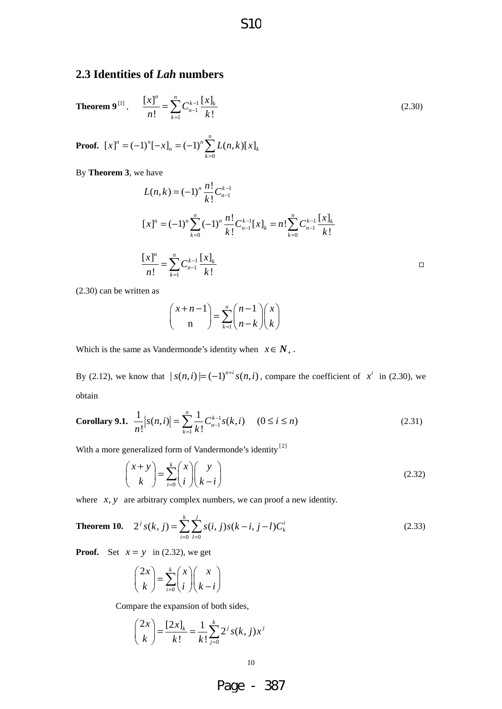#### **2.3 Identities of** *Lah* **numbers**

**Theorem 9**<sup>[1]</sup>. 
$$
\frac{[x]^n}{n!} = \sum_{k=1}^n C_{n-1}^{k-1} \frac{[x]_k}{k!}
$$
 (2.30)

**Proof.**  $\mathbf{0}$  $[x]^n = (-1)^n [-x]_n = (-1)^n \sum_{n=1}^n L(n,k)[x]$  $n = (-1)$   $\sum L(n, k)[\lambda]_k$ *k*  $[x]$ <sup>n</sup> =  $(-1)$ <sup>n</sup> $[-x]$ <sub>n</sub> =  $(-1)$ <sup>n</sup> $\sum L(n,k)$  $= (-1)^n [-x]_n = (-1)^n \sum_{k=0} L(n,k) [x]$ 

By **Theorem 3**, we have

$$
L(n,k) = (-1)^n \frac{n!}{k!} C_{n-1}^{k-1}
$$
  
\n
$$
[x]^n = (-1)^n \sum_{k=0}^n (-1)^n \frac{n!}{k!} C_{n-1}^{k-1} [x]_k = n! \sum_{k=0}^n C_{n-1}^{k-1} \frac{[x]_k}{k!}
$$
  
\n
$$
\frac{[x]^n}{n!} = \sum_{k=1}^n C_{n-1}^{k-1} \frac{[x]_k}{k!}
$$

(2.30) can be written as

$$
\binom{x+n-1}{n} = \sum_{k=1}^{n} \binom{n-1}{n-k} \binom{x}{k}
$$

Which is the same as Vandermonde's identity when  $x \in N_+$ .

By (2.12), we know that  $|s(n,i)| = (-1)^{n+i} s(n,i)$ , compare the coefficient of  $x^i$  in (2.30), we obtain

**Corollary 9.1.** 
$$
\frac{1}{n!} |s(n,i)| = \sum_{k=1}^{n} \frac{1}{k!} C_{n-1}^{k-1} s(k,i) \quad (0 \le i \le n)
$$
 (2.31)

With a more generalized form of Vandermonde's identity<sup>[2]</sup>

$$
\binom{x+y}{k} = \sum_{i=0}^{k} \binom{x}{i} \binom{y}{k-i}
$$
\n(2.32)

where  $x$ ,  $y$  are arbitrary complex numbers, we can proof a new identity.

**Theorem 10.** 
$$
2^{j} s(k, j) = \sum_{i=0}^{k} \sum_{l=0}^{j} s(i, j) s(k - i, j - l) C_{k}^{i}
$$
 (2.33)

**Proof.** Set  $x = y$  in (2.32), we get

$$
\binom{2x}{k} = \sum_{i=0}^{k} \binom{x}{i} \binom{x}{k-i}
$$

Compare the expansion of both sides,

$$
\binom{2x}{k} = \frac{[2x]_k}{k!} = \frac{1}{k!} \sum_{j=0}^k 2^j s(k, j) x^j
$$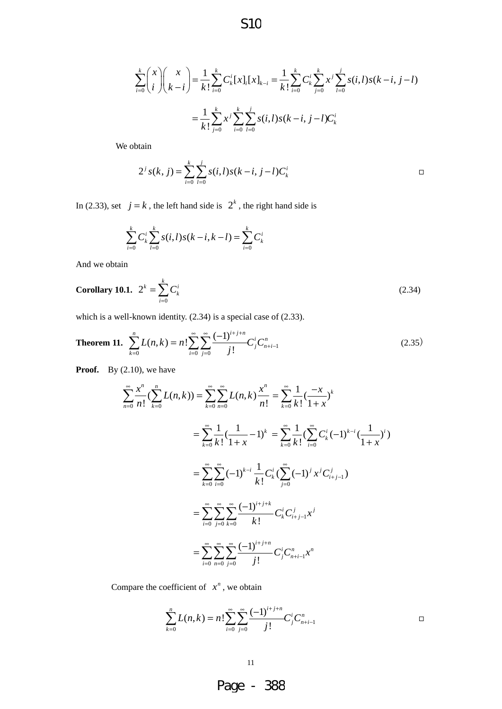$$
\sum_{i=0}^{k} {x \choose i} {x \choose k-i} = \frac{1}{k!} \sum_{i=0}^{k} C_{k}^{i} [x]_{i} [x]_{k-i} = \frac{1}{k!} \sum_{i=0}^{k} C_{k}^{i} \sum_{j=0}^{k} x^{j} \sum_{l=0}^{j} s(i,l) s(k-i, j-l)
$$

$$
= \frac{1}{k!} \sum_{j=0}^{k} x^{j} \sum_{i=0}^{k} \sum_{l=0}^{j} s(i,l) s(k-i, j-l) C_{k}^{i}
$$

We obtain

$$
2^{j} s(k, j) = \sum_{i=0}^{k} \sum_{l=0}^{j} s(i, l) s(k-i, j-l) C_{k}^{i}
$$

In (2.33), set  $j = k$ , the left hand side is  $2^k$ , the right hand side is

$$
\sum_{i=0}^{k} C_{k}^{i} \sum_{l=0}^{k} s(i, l) s(k - i, k - l) = \sum_{i=0}^{k} C_{k}^{i}
$$

And we obtain

**Corollary 10.1.** 
$$
2^k = \sum_{i=0}^k C_k^i
$$
 (2.34)

which is a well-known identity. (2.34) is a special case of (2.33).

**Theorem 11.** 
$$
\sum_{k=0}^{n} L(n,k) = n! \sum_{i=0}^{\infty} \sum_{j=0}^{\infty} \frac{(-1)^{i+j+n}}{j!} C_j^i C_{n+i-1}^n
$$
 (2.35)

**Proof.** By (2.10), we have

$$
\sum_{n=0}^{\infty} \frac{x^n}{n!} \left( \sum_{k=0}^n L(n,k) \right) = \sum_{k=0}^{\infty} \sum_{n=0}^{\infty} L(n,k) \frac{x^n}{n!} = \sum_{k=0}^{\infty} \frac{1}{k!} \left( \frac{-x}{1+x} \right)^k
$$
  

$$
= \sum_{k=0}^{\infty} \frac{1}{k!} \left( \frac{1}{1+x} - 1 \right)^k = \sum_{k=0}^{\infty} \frac{1}{k!} \left( \sum_{i=0}^{\infty} C_i^i \left( -1 \right)^{k-i} \left( \frac{1}{1+x} \right)^i \right)
$$
  

$$
= \sum_{k=0}^{\infty} \sum_{i=0}^{\infty} (-1)^{k-i} \frac{1}{k!} C_k^i \left( \sum_{j=0}^{\infty} (-1)^j x^j C_{i+j-1}^j \right)
$$
  

$$
= \sum_{i=0}^{\infty} \sum_{j=0}^{\infty} \sum_{k=0}^{\infty} \frac{(-1)^{i+j+k}}{k!} C_k^i C_{i+j-1}^j x^j
$$
  

$$
= \sum_{i=0}^{\infty} \sum_{n=0}^{\infty} \sum_{j=0}^{\infty} \frac{(-1)^{i+j+n}}{j!} C_j^i C_{n+i-1}^n x^n
$$

Compare the coefficient of  $x^n$ , we obtain

$$
\sum_{k=0}^{n} L(n,k) = n! \sum_{i=0}^{\infty} \sum_{j=0}^{\infty} \frac{(-1)^{i+j+n}}{j!} C_j^{i} C_{n+i-1}^{n}
$$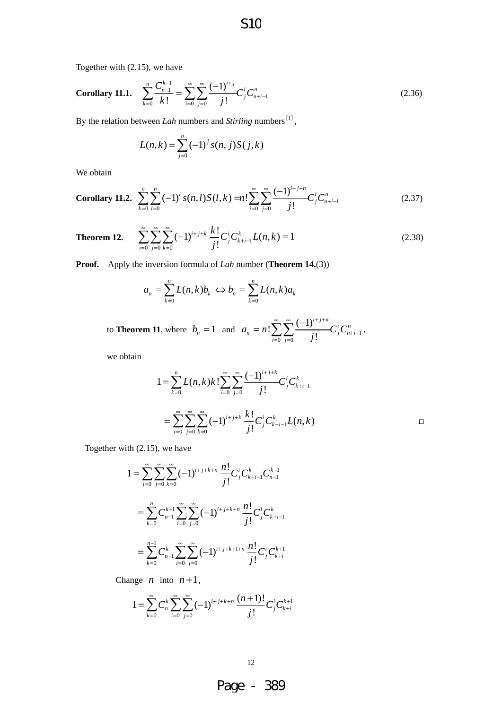S10

Together with (2.15), we have

Corollary 11.1. 
$$
\sum_{k=0}^{n} \frac{C_{n-1}^{k-1}}{k!} = \sum_{i=0}^{\infty} \sum_{j=0}^{\infty} \frac{(-1)^{i+j}}{j!} C_j^i C_{n+i-1}^n
$$
 (2.36)

By the relation between *Lah* numbers and *Stirling* numbers<sup>[1]</sup>,

$$
L(n,k) = \sum_{j=0}^{n} (-1)^{j} s(n, j) S(j,k)
$$

We obtain

**Corollary 11.2.** 
$$
\sum_{k=0}^{n} \sum_{l=0}^{n} (-1)^{l} s(n,l) S(l,k) = n! \sum_{i=0}^{\infty} \sum_{j=0}^{\infty} \frac{(-1)^{i+j+n}}{j!} C_{j}^{i} C_{n+i-1}^{n}
$$
 (2.37)

**Theorem 12.** 
$$
\sum_{i=0}^{\infty} \sum_{j=0}^{\infty} \sum_{k=0}^{\infty} (-1)^{i+j+k} \frac{k!}{j!} C_j^i C_{k+i-1}^k L(n,k) = 1
$$
 (2.38)

**Proof.** Apply the inversion formula of *Lah* number (**Theorem 14.**(3))

$$
a_n = \sum_{k=0}^n L(n,k)b_k \Leftrightarrow b_n = \sum_{k=0}^n L(n,k)a_k
$$

to **Theorem 11**, where  $b_n = 1$  and  $a_n = n! \sum \sum_{i=1}^{n} \frac{(-1)^i}{n!} C_i^i C_{n+i-1}^i$  $0 \text{ } j = 0$  $\sum_{i=1}^{8} \sum_{i=1}^{8} \frac{(-1)}{2}$ !  $i+j+n$ <br>*C*<sup>*i*</sup>  $C^n$  $n - n \cdot \angle \angle \angle$  *i*  $\cup$ *i j*  $a_n = n! \sum_{i=1}^{n} \frac{(-1)^i}{n!} C_i^i C_i$ *j* ∞ ∞  $(-1)^{i+j+}$  $+i =n! \sum_{i=0}^\infty \sum_{j=0}^\infty \frac{(-1)^{i+j+n}}{j!} {C}_j^i {C}_{n+i-1}^n\,,$ 

we obtain

$$
1 = \sum_{k=0}^{n} L(n,k)k! \sum_{i=0}^{\infty} \sum_{j=0}^{\infty} \frac{(-1)^{i+j+k}}{j!} C_j^{i} C_{k+i-1}^{k}
$$
  
= 
$$
\sum_{i=0}^{\infty} \sum_{j=0}^{\infty} \sum_{k=0}^{\infty} (-1)^{i+j+k} \frac{k!}{j!} C_j^{i} C_{k+i-1}^{k} L(n,k)
$$

Together with (2.15), we have

$$
1 = \sum_{i=0}^{\infty} \sum_{j=0}^{\infty} \sum_{k=0}^{\infty} (-1)^{i+j+k+n} \frac{n!}{j!} C_j^i C_{k+i-1}^k C_{n-1}^{k-1}
$$
  

$$
= \sum_{k=0}^n C_{n-1}^{k-1} \sum_{i=0}^{\infty} \sum_{j=0}^{\infty} (-1)^{i+j+k+n} \frac{n!}{j!} C_j^i C_{k+i-1}^k
$$
  

$$
= \sum_{k=0}^{n-1} C_{n-1}^k \sum_{i=0}^{\infty} \sum_{j=0}^{\infty} (-1)^{i+j+k+1+n} \frac{n!}{j!} C_j^i C_{k+i}^{k+1}
$$

Change *n* into  $n+1$ ,

$$
1 = \sum_{k=0}^{\infty} C_n^k \sum_{i=0}^{\infty} \sum_{j=0}^{\infty} (-1)^{i+j+k+n} \frac{(n+1)!}{j!} C_j^i C_{k+i}^{k+1}
$$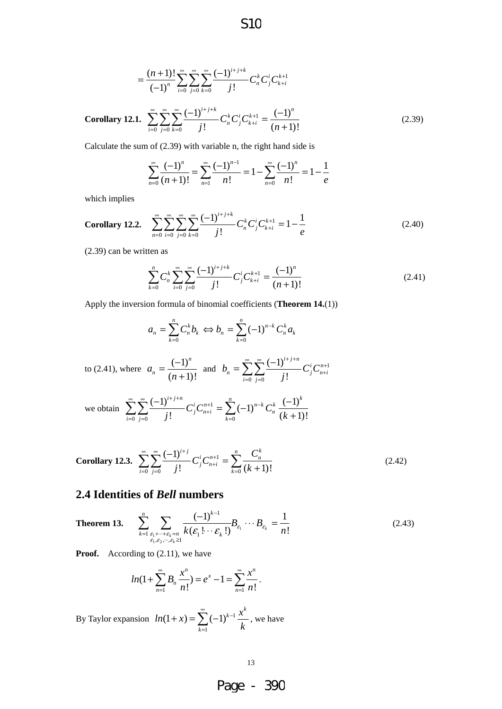$$
=\frac{(n+1)!}{(-1)^n}\sum_{i=0}^{\infty}\sum_{j=0}^{\infty}\sum_{k=0}^{\infty}\frac{(-1)^{i+j+k}}{j!}C_n^kC_j^iC_{k+i}^{k+1}
$$

Corollary 12.1. 
$$
\sum_{i=0}^{\infty} \sum_{j=0}^{\infty} \sum_{k=0}^{\infty} \frac{(-1)^{i+j+k}}{j!} C_n^k C_j^i C_{k+i}^{k+1} = \frac{(-1)^n}{(n+1)!}
$$
 (2.39)

Calculate the sum of (2.39) with variable n, the right hand side is

$$
\sum_{n=0}^{\infty} \frac{(-1)^n}{(n+1)!} = \sum_{n=1}^{\infty} \frac{(-1)^{n-1}}{n!} = 1 - \sum_{n=0}^{\infty} \frac{(-1)^n}{n!} = 1 - \frac{1}{e}
$$

which implies

Corollary 12.2. 
$$
\sum_{n=0}^{\infty} \sum_{i=0}^{\infty} \sum_{j=0}^{\infty} \sum_{k=0}^{\infty} \frac{(-1)^{i+j+k}}{j!} C_n^k C_j^i C_{k+i}^{k+1} = 1 - \frac{1}{e}
$$
 (2.40)

(2.39) can be written as

$$
\sum_{k=0}^{n} C_n^k \sum_{i=0}^{\infty} \sum_{j=0}^{\infty} \frac{(-1)^{i+j+k}}{j!} C_j^i C_{k+i}^{k+1} = \frac{(-1)^n}{(n+1)!}
$$
 (2.41)

Apply the inversion formula of binomial coefficients (**Theorem 14.**(1))

$$
a_n = \sum_{k=0}^n C_n^k b_k \Leftrightarrow b_n = \sum_{k=0}^n (-1)^{n-k} C_n^k a_k
$$
  
to (2.41), where  $a_n = \frac{(-1)^n}{(n+1)!}$  and  $b_n = \sum_{i=0}^\infty \sum_{j=0}^\infty \frac{(-1)^{i+j+n}}{j!} C_j^i C_{n+i}^{n+1}$   
we obtain 
$$
\sum_{i=0}^\infty \sum_{j=0}^\infty \frac{(-1)^{i+j+n}}{j!} C_j^i C_{n+i}^{n+1} = \sum_{k=0}^n (-1)^{n-k} C_n^k \frac{(-1)^k}{(k+1)!}
$$

Corollary 12.3. 
$$
\sum_{i=0}^{\infty} \sum_{j=0}^{\infty} \frac{(-1)^{i+j}}{j!} C_j^i C_{n+i}^{n+1} = \sum_{k=0}^n \frac{C_n^k}{(k+1)!}
$$
 (2.42)

## **2.4 Identities of** *Bell* **numbers**

**Theorem 13.** 
$$
\sum_{k=1}^{n} \sum_{\substack{\varepsilon_1 + \dots + \varepsilon_k = n \\ \varepsilon_1, \varepsilon_2, \dots, \varepsilon_k \ge 1}} \frac{(-1)^{k-1}}{k(\varepsilon_1! \cdots \varepsilon_k!)} B_{\varepsilon_1} \cdots B_{\varepsilon_k} = \frac{1}{n!}
$$
 (2.43)

**Proof.** According to (2.11), we have

$$
ln(1+\sum_{n=1}^{\infty}B_n\frac{x^n}{n!})=e^x-1=\sum_{n=1}^{\infty}\frac{x^n}{n!}.
$$

By Taylor expansion  $ln(1+x) = \sum_{n=1}^{\infty} (-1)^{k-1}$ 1  $(1 + x) = \sum (-1)$  $\boldsymbol{\chi}_{k-1}$   $\boldsymbol{\chi}^k$ *k*  $ln(1+x) = \sum_{k=0}^{\infty} (-1)^{k-1} \frac{x}{k}$ *k*  $\sum_{k=1}^{\infty}$  (1) $k (x + x) = \sum_{k=1}^{\infty} (-1)^{k-1} \frac{x}{k}$ , we have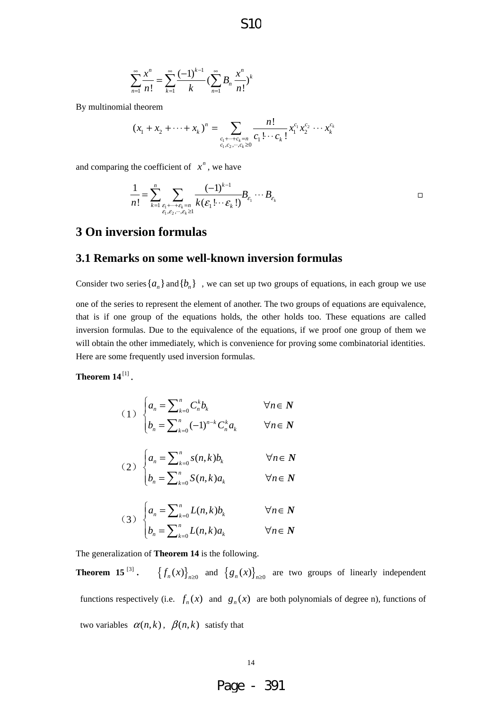S10

$$
\sum_{n=1}^{\infty} \frac{x^n}{n!} = \sum_{k=1}^{\infty} \frac{(-1)^{k-1}}{k} \left( \sum_{n=1}^{\infty} B_n \frac{x^n}{n!} \right)^k
$$

By multinomial theorem

$$
(x_1 + x_2 + \dots + x_k)^n = \sum_{\substack{c_1 + \dots + c_k = n \\ c_1, c_2, \dots, c_k \ge 0}} \frac{n!}{c_1! \cdots c_k!} x_1^{c_1} x_2^{c_2} \cdots x_k^{c_k}
$$

and comparing the coefficient of  $x^n$ , we have

$$
\frac{1}{n!} = \sum_{k=1}^n \sum_{\substack{\varepsilon_1 + \dots + \varepsilon_k = n \\ \varepsilon_1, \varepsilon_2, \dots, \varepsilon_k \ge 1}} \frac{(-1)^{k-1}}{k(\varepsilon_1! \cdots \varepsilon_k!)} B_{\varepsilon_1} \cdots B_{\varepsilon_k} \square
$$

# **3 On inversion formulas**

#### **3.1 Remarks on some well-known inversion formulas**

Consider two series  $\{a_n\}$  and  $\{b_n\}$ , we can set up two groups of equations, in each group we use one of the series to represent the element of another. The two groups of equations are equivalence, that is if one group of the equations holds, the other holds too. These equations are called inversion formulas. Due to the equivalence of the equations, if we proof one group of them we will obtain the other immediately, which is convenience for proving some combinatorial identities. Here are some frequently used inversion formulas.

**Theorem 14**<sup> $[1]$ </sup>.

$$
(1) \begin{cases} a_n = \sum_{k=0}^n C_n^k b_k & \forall n \in \mathbb{N} \\ b_n = \sum_{k=0}^n (-1)^{n-k} C_n^k a_k & \forall n \in \mathbb{N} \end{cases}
$$

$$
(2) \begin{cases} a_n = \sum_{k=0}^n s(n,k)b_k & \forall n \in \mathbb{N} \\ b_n = \sum_{k=0}^n S(n,k)a_k & \forall n \in \mathbb{N} \end{cases}
$$

(3) 
$$
\begin{cases} a_n = \sum_{k=0}^n L(n,k)b_k & \forall n \in \mathbb{N} \\ b_n = \sum_{k=0}^n L(n,k)a_k & \forall n \in \mathbb{N} \end{cases}
$$

The generalization of **Theorem 14** is the following.

**Theorem 15**<sup>[3]</sup>.  $\left\{f_n(x)\right\}_{n\geq0}$  and  $\left\{g_n(x)\right\}_{n\geq0}$  are two groups of linearly independent functions respectively (i.e.  $f_n(x)$  and  $g_n(x)$  are both polynomials of degree n), functions of two variables  $\alpha(n, k)$ ,  $\beta(n, k)$  satisfy that

Page - 391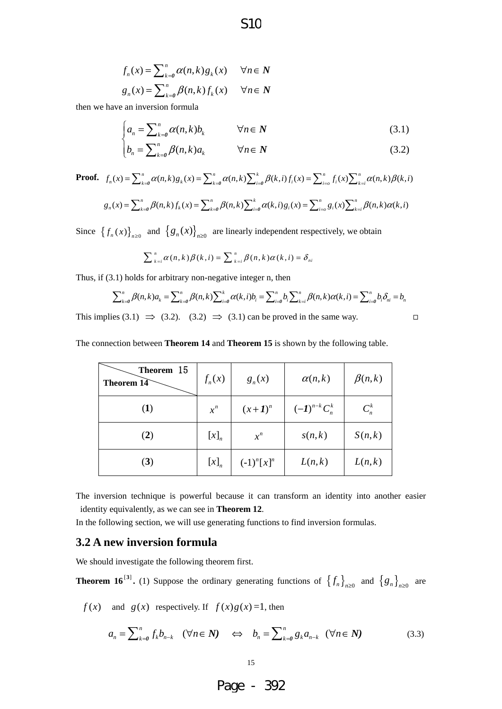$$
f_n(x) = \sum_{k=0}^n \alpha(n,k) g_k(x) \quad \forall n \in \mathbb{N}
$$
  

$$
g_n(x) = \sum_{k=0}^n \beta(n,k) f_k(x) \quad \forall n \in \mathbb{N}
$$

then we have an inversion formula

$$
\begin{cases} a_n = \sum_{k=0}^n \alpha(n,k) b_k & \forall n \in \mathbb{N} \end{cases} \tag{3.1}
$$

S10

$$
\left(b_n = \sum_{k=0}^n \beta(n,k)a_k \qquad \forall n \in \mathbb{N} \qquad (3.2)
$$

**Proof.** 
$$
f_n(x) = \sum_{k=0}^n \alpha(n,k) g_k(x) = \sum_{k=0}^n \alpha(n,k) \sum_{i=0}^k \beta(k,i) f_i(x) = \sum_{i=0}^n f_i(x) \sum_{k=i}^n \alpha(n,k) \beta(k,i)
$$

$$
g_n(x) = \sum_{k=0}^n \beta(n,k) f_k(x) = \sum_{k=0}^n \beta(n,k) \sum_{i=0}^k \alpha(k,i) g_i(x) = \sum_{i=0}^n g_i(x) \sum_{k=i}^n \beta(n,k) \alpha(k,i)
$$

Since  $\{f_n(x)\}_{n\geq 0}$  and  $\{g_n(x)\}_{n\geq 0}$  are linearly independent respectively, we obtain

$$
\sum_{k=i}^{n} \alpha(n,k) \beta(k,i) = \sum_{k=i}^{n} \beta(n,k) \alpha(k,i) = \delta_{ni}
$$

Thus, if (3.1) holds for arbitrary non-negative integer n, then

$$
\sum_{k=0}^{n} \beta(n,k)a_k = \sum_{k=0}^{n} \beta(n,k) \sum_{i=0}^{k} \alpha(k,i)b_i = \sum_{i=0}^{n} b_i \sum_{k=i}^{n} \beta(n,k)\alpha(k,i) = \sum_{i=0}^{n} b_i \delta_{ni} = b_n
$$

This implies (3.1)  $\implies$  (3.2). (3.2)  $\implies$  (3.1) can be proved in the same way.

The connection between **Theorem 14** and **Theorem 15** is shown by the following table.

| Theorem 15<br><b>Theorem 14</b> | $f_n(x)$ | $g_n(x)$       | $\alpha(n,k)$     | $\beta(n,k)$ |
|---------------------------------|----------|----------------|-------------------|--------------|
| (1)                             | $x^n$    | $(x+1)^n$      | $(-1)^{n-k}C_n^k$ | $C_n^k$      |
| (2)                             | $[x]_n$  | $x^n$          | s(n,k)            | S(n,k)       |
| (3)                             | $[x]_n$  | $(-1)^n [x]^n$ | L(n,k)            | L(n,k)       |

The inversion technique is powerful because it can transform an identity into another easier identity equivalently, as we can see in **Theorem 12**.

In the following section, we will use generating functions to find inversion formulas.

#### **3.2 A new inversion formula**

We should investigate the following theorem first.

**Theorem 16**<sup>[3]</sup>. (1) Suppose the ordinary generating functions of  $\{f_n\}_{n\geq 0}$  and  $\{g_n\}_{n\geq 0}$  are

 $f(x)$  and  $g(x)$  respectively. If  $f(x)g(x)=1$ , then

$$
a_n = \sum_{k=0}^n f_k b_{n-k} \quad (\forall n \in \mathbb{N}) \quad \Leftrightarrow \quad b_n = \sum_{k=0}^n g_k a_{n-k} \quad (\forall n \in \mathbb{N}) \tag{3.3}
$$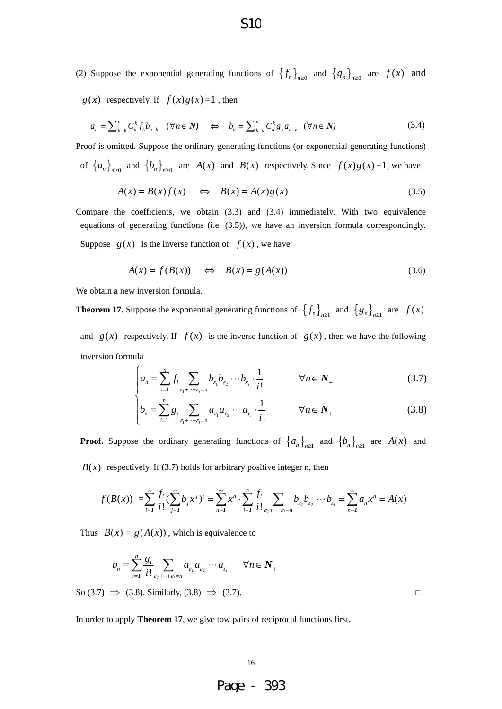$g(x)$  respectively. If  $f(x)g(x)=1$ , then

$$
a_n = \sum_{k=0}^n C_n^k f_k b_{n-k} \quad (\forall n \in \mathbb{N}) \quad \Leftrightarrow \quad b_n = \sum_{k=0}^n C_n^k g_k a_{n-k} \quad (\forall n \in \mathbb{N}) \tag{3.4}
$$

Proof is omitted. Suppose the ordinary generating functions (or exponential generating functions) of  $\{a_n\}_{n\geq 0}$  and  $\{b_n\}_{n\geq 0}$  are  $A(x)$  and  $B(x)$  respectively. Since  $f(x)g(x)=1$ , we have

$$
A(x) = B(x)f(x) \quad \Leftrightarrow \quad B(x) = A(x)g(x) \tag{3.5}
$$

Compare the coefficients, we obtain (3.3) and (3.4) immediately. With two equivalence equations of generating functions (i.e. (3.5)), we have an inversion formula correspondingly. Suppose  $g(x)$  is the inverse function of  $f(x)$ , we have

$$
A(x) = f(B(x)) \quad \Leftrightarrow \quad B(x) = g(A(x)) \tag{3.6}
$$

We obtain a new inversion formula.

**Theorem 17.** Suppose the exponential generating functions of  $\{f_n\}_{n\geq 1}$  and  $\{g_n\}_{n\geq 1}$  are  $f(x)$ and  $g(x)$  respectively. If  $f(x)$  is the inverse function of  $g(x)$ , then we have the following inversion formula

$$
\int_{\alpha_n} a_n = \sum_{i=1}^n f_i \sum_{\varepsilon_1 + \dots + \varepsilon_i = n} b_{\varepsilon_1} b_{\varepsilon_2} \cdots b_{\varepsilon_i} \cdot \frac{1}{i!} \qquad \forall n \in \mathbb{N}_+ \tag{3.7}
$$

$$
\left| b_n = \sum_{i=1}^n g_i \sum_{\varepsilon_1 + \dots + \varepsilon_i = n} a_{\varepsilon_1} a_{\varepsilon_2} \cdots a_{\varepsilon_i} \cdot \frac{1}{i!} \right| \qquad \forall n \in \mathbb{N}_+ \tag{3.8}
$$

**Proof.** Suppose the ordinary generating functions of  $\{a_n\}_{n\geq 1}$  and  $\{b_n\}_{n\geq 1}$  are  $A(x)$  and  $B(x)$  respectively. If (3.7) holds for arbitrary positive integer n, then

$$
f(B(x)) = \sum_{i=1}^{\infty} \frac{f_i}{i!} (\sum_{j=1}^{\infty} b_j x^j)^i = \sum_{n=1}^{\infty} x^n \cdot \sum_{i=1}^n \frac{f_i}{i!} \sum_{\epsilon_1 + \dots + \epsilon_i = n} b_{\epsilon_1} b_{\epsilon_2} \cdots b_{\epsilon_i} = \sum_{n=1}^{\infty} a_n x^n = A(x)
$$

Thus  $B(x) = g(A(x))$ , which is equivalence to

$$
b_n = \sum_{i=1}^n \frac{g_i}{i!} \sum_{\varepsilon_1 + \dots + \varepsilon_i = n} a_{\varepsilon_1} a_{\varepsilon_2} \cdots a_{\varepsilon_i} \quad \forall n \in \mathbb{N}_+
$$

So (3.7)  $\Rightarrow$  (3.8). Similarly, (3.8)  $\Rightarrow$  (3.7).

In order to apply **Theorem 17**, we give tow pairs of reciprocal functions first.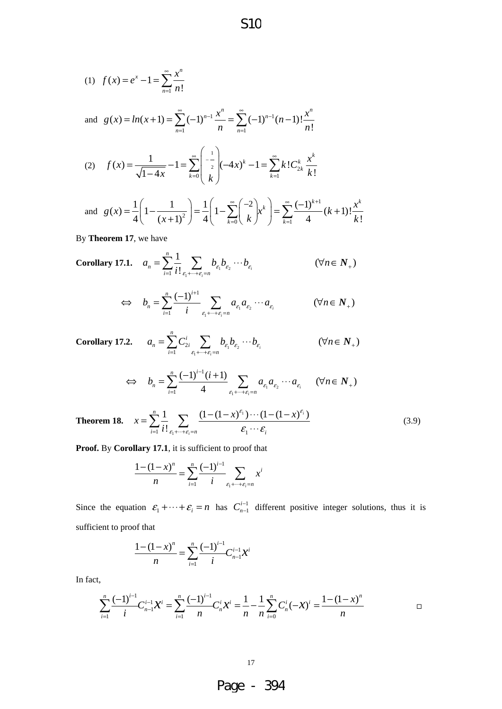(1) 
$$
f(x) = e^x - 1 = \sum_{n=1}^{\infty} \frac{x^n}{n!}
$$
  
and  $g(x) = ln(x+1) = \sum_{n=1}^{\infty} (-1)^{n-1} \frac{x^n}{n!} = \sum_{n=1}^{\infty} (-1)^{n-1} (n-1)! \frac{x^n}{n!}$ 

and 
$$
g(x) = ln(x+1) = \sum_{n=1}^{\infty} (-1)^{n-1} \frac{x^n}{n} = \sum_{n=1}^{\infty} (-1)^{n-1} (n-1)! \frac{x^n}{n!}
$$

(2) 
$$
f(x) = \frac{1}{\sqrt{1-4x}} - 1 = \sum_{k=0}^{\infty} \begin{pmatrix} -\frac{1}{2} \\ \frac{1}{2} \end{pmatrix} (-4x)^k - 1 = \sum_{k=1}^{\infty} k! C_{2k}^k \frac{x^k}{k!}
$$

and 
$$
g(x) = \frac{1}{4} \left( 1 - \frac{1}{(x+1)^2} \right) = \frac{1}{4} \left( 1 - \sum_{k=0}^{\infty} {\binom{-2}{k}} x^k \right) = \sum_{k=1}^{\infty} \frac{(-1)^{k+1}}{4} (k+1)! \frac{x^k}{k!}
$$

By **Theorem 17**, we have

Corollary 17.1. 
$$
a_n = \sum_{i=1}^n \frac{1}{i!} \sum_{\varepsilon_1 + \dots + \varepsilon_i = n} b_{\varepsilon_1} b_{\varepsilon_2} \cdots b_{\varepsilon_i} \qquad (\forall n \in N_+)
$$

$$
\Leftrightarrow \quad b_n = \sum_{i=1}^n \frac{(-1)^{i+1}}{i} \sum_{\varepsilon_1 + \dots + \varepsilon_i = n} a_{\varepsilon_1} a_{\varepsilon_2} \cdots a_{\varepsilon_i} \qquad (\forall n \in N_+)
$$

**Corollary 17.2.** 
$$
a_n = \sum_{i=1}^n C_{2i}^i \sum_{\epsilon_1 + \cdots + \epsilon_i = n} b_{\epsilon_1} b_{\epsilon_2} \cdots b_{\epsilon_i}
$$
  $(\forall n \in N_+)$ 

$$
\Leftrightarrow b_n = \sum_{i=1}^n \frac{(-1)^{i-1}(i+1)}{4} \sum_{\varepsilon_1 + \dots + \varepsilon_i = n} a_{\varepsilon_1} a_{\varepsilon_2} \cdots a_{\varepsilon_i} \quad (\forall n \in N_+)
$$

**Theorem 18.** 
$$
x = \sum_{i=1}^{n} \frac{1}{i!} \sum_{\epsilon_1 + \dots + \epsilon_i = n} \frac{(1 - (1 - x)^{\epsilon_i}) \cdots (1 - (1 - x)^{\epsilon_i})}{\epsilon_1 \cdots \epsilon_i}
$$
(3.9)

**Proof.** By **Corollary 17.1**, it is sufficient to proof that

$$
\frac{1 - (1 - x)^n}{n} = \sum_{i=1}^n \frac{(-1)^{i-1}}{i} \sum_{\varepsilon_1 + \dots + \varepsilon_i = n} x^i
$$

Since the equation  $\varepsilon_1 + \cdots + \varepsilon_i = n$  has  $C_{n-1}^{i-1}$  different positive integer solutions, thus it is sufficient to proof that −

$$
\frac{1-(1-x)^n}{n} = \sum_{i=1}^n \frac{(-1)^{i-1}}{i} C_{n-1}^{i-1} x^i
$$

In fact,

$$
\sum_{i=1}^{n} \frac{(-1)^{i-1}}{i} C_{n-1}^{i-1} \mathcal{X}^{i} = \sum_{i=1}^{n} \frac{(-1)^{i-1}}{n} C_{n}^{i} \mathcal{X}^{i} = \frac{1}{n} - \frac{1}{n} \sum_{i=0}^{n} C_{n}^{i} (-\mathcal{X})^{i} = \frac{1 - (1 - \mathcal{X})^{n}}{n}
$$

17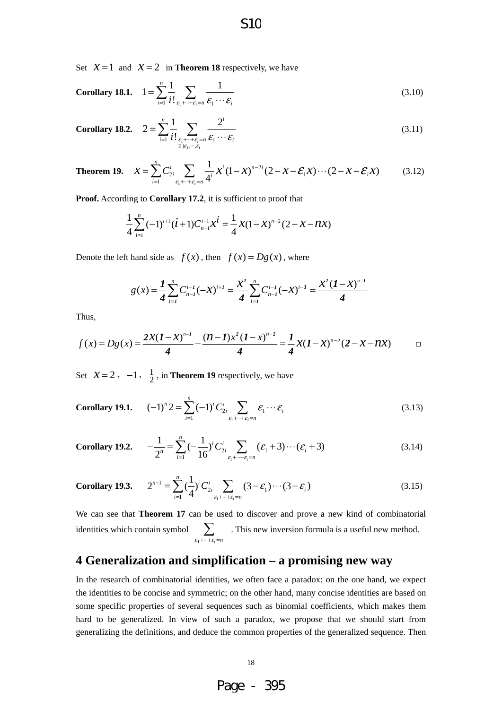Set  $X = 1$  and  $X = 2$  in **Theorem 18** respectively, we have

Corollary 18.1. 
$$
1 = \sum_{i=1}^{n} \frac{1}{i!} \sum_{\varepsilon_1 + \dots + \varepsilon_i = n} \frac{1}{\varepsilon_1 \cdots \varepsilon_i}
$$
 (3.10)

Corollary 18.2. 
$$
2 = \sum_{i=1}^{n} \frac{1}{i!} \sum_{\substack{\varepsilon_i + \dots + \varepsilon_i = n \\ 2 \nmid \varepsilon_1, \dots, \varepsilon_i}} \frac{2^i}{\varepsilon_1 \cdots \varepsilon_i} \tag{3.11}
$$

**Theorem 19.** 
$$
\mathcal{X} = \sum_{i=1}^{n} C_{2i}^{i} \sum_{\epsilon_{1} + \dots + \epsilon_{i} = n} \frac{1}{4^{i}} \mathcal{X}^{i} (1 - \mathcal{X})^{n-2i} (2 - \mathcal{X} - \mathcal{E}_{1} \mathcal{X}) \cdots (2 - \mathcal{X} - \mathcal{E}_{i} \mathcal{X})
$$
(3.12)

**Proof.** According to **Corollary 17.2**, it is sufficient to proof that

$$
\frac{1}{4}\sum_{i=1}^{n}(-1)^{i+1}(i+1)C_{n-1}^{i-1}x^{i} = \frac{1}{4}x(1-x)^{n-2}(2-x-nx)
$$

Denote the left hand side as  $f(x)$ , then  $f(x) = Dg(x)$ , where

$$
g(x) = \frac{1}{4} \sum_{i=1}^{n} C_{n-i}^{i-1} (-x)^{i+1} = \frac{x^2}{4} \sum_{i=1}^{n} C_{n-i}^{i-1} (-x)^{i-1} = \frac{x^2 (1-x)^{n-1}}{4}
$$

Thus,

$$
f(x) = Dg(x) = \frac{2x(1-x)^{n-1}}{4} - \frac{(n-1)x^2(1-x)^{n-2}}{4} = \frac{1}{4}x(1-x)^{n-2}(2-x-nx) \qquad \Box
$$

Set  $\mathcal{X} = 2$ ,  $-1$ ,  $\frac{1}{2}$ , in **Theorem 19** respectively, we have

**Corollary 19.1.** 
$$
(-1)^{n} 2 = \sum_{i=1}^{n} (-1)^{i} C_{2i}^{i} \sum_{\varepsilon_{1} + \dots + \varepsilon_{i} = n} \varepsilon_{1} \cdots \varepsilon_{i}
$$
 (3.13)

Corollary 19.2. 
$$
-\frac{1}{2^n} = \sum_{i=1}^n \left(-\frac{1}{16}\right)^i C_{2i}^i \sum_{\varepsilon_1 + \dots + \varepsilon_i = n} (\varepsilon_1 + 3) \cdots (\varepsilon_i + 3)
$$
(3.14)

**Corollary 19.3.** 
$$
2^{n-1} = \sum_{i=1}^{n} \left(\frac{1}{4}\right)^{i} C_{2i}^{i} \sum_{\epsilon_{1} + \dots + \epsilon_{i} = n} (3 - \epsilon_{1}) \cdots (3 - \epsilon_{i})
$$
 (3.15)

We can see that **Theorem 17** can be used to discover and prove a new kind of combinatorial identities which contain symbol  $\sum$ . This new inversion formula is a useful new method.  $\varepsilon_i$  +  $\cdots$  +  $\varepsilon_i$  = *n* ∑ *1*

## **4 Generalization and simplification – a promising new way**

In the research of combinatorial identities, we often face a paradox: on the one hand, we expect the identities to be concise and symmetric; on the other hand, many concise identities are based on some specific properties of several sequences such as binomial coefficients, which makes them hard to be generalized. In view of such a paradox, we propose that we should start from generalizing the definitions, and deduce the common properties of the generalized sequence. Then



# S10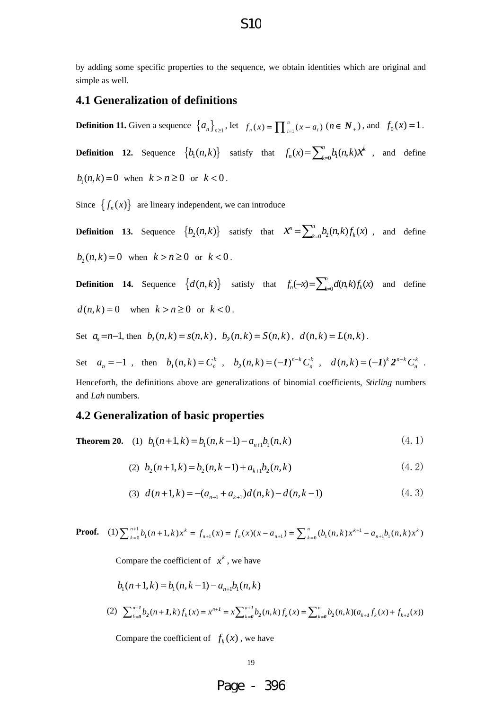by adding some specific properties to the sequence, we obtain identities which are original and simple as well.

#### **4.1 Generalization of definitions**

**Definition 11.** Given a sequence  $\{a_n\}_{n\geq 1}$ , let  $f_n(x) = \prod_{i=1}^n (x - a_i)$   $(n \in N_+)$ , and  $f_0(x) = 1$ .

**Definition 12.** Sequence  $\{b_1(n,k)\}$  satisfy that  $f_n(x) = \sum_{k=0}^n b_1(n,k)x^k$ , and define

 $b_1(n,k) = 0$  when  $k > n \ge 0$  or  $k < 0$ .

Since  $\{f_n(x)\}\$  are lineary independent, we can introduce

**Definition 13.** Sequence  $\{b_2(n,k)\}$  satisfy that  $\mathcal{X}^n = \sum_{k=0}^n b_2(n,k) f_k(x)$ , and define  $b_2(n, k) = 0$  when  $k > n \ge 0$  or  $k < 0$ .

**Definition 14.** Sequence  $\{d(n,k)\}$  satisfy that  $f_n(-x) = \sum_{k=0}^n d(n,k) f_k(x)$  and define  $d(n, k) = 0$  when  $k > n \ge 0$  or  $k < 0$ .

Set  $a_n = n-1$ , then  $b_1(n, k) = s(n, k)$ ,  $b_2(n, k) = S(n, k)$ ,  $d(n, k) = L(n, k)$ .

Set  $a_n = -1$ , then  $b_1(n, k) = C_n^k$ ,  $b_2(n, k) = (-1)^{n-k} C_n^k$ ,  $d(n, k) = (-1)^k 2^{n-k} C_n^k$ .

Henceforth, the definitions above are generalizations of binomial coefficients, *Stirling* numbers and *Lah* numbers.

#### **4.2 Generalization of basic properties**

**Theorem 20.** (1)  $b_1(n+1,k) = b_1(n,k-1) - a_{n+1}b_1(n,k)$  (4.1)

(2) 
$$
b_2(n+1,k) = b_2(n,k-1) + a_{k+1}b_2(n,k)
$$
 (4.2)

$$
(3) d(n+1,k) = -(a_{n+1} + a_{k+1})d(n,k) - d(n,k-1) \tag{4.3}
$$

**Proof.** (1)  $\sum_{k=0}^{n+1} b_1(n+1,k)x^k = f_{n+1}(x) = f_n(x)(x - a_{n+1}) = \sum_{k=0}^{n} (b_1(n,k)x^{k+1} - a_{n+1}b_1(n,k)x^k$ 

Compare the coefficient of  $x^k$ , we have

$$
b_1(n+1,k) = b_1(n,k-1) - a_{n+1}b_1(n,k)
$$
  
(2) 
$$
\sum_{k=0}^{n+1} b_2(n+1,k) f_k(x) = x^{n+1} = x \sum_{k=0}^{n+1} b_2(n,k) f_k(x) = \sum_{k=0}^{n} b_2(n,k) (a_{k+1}f_k(x) + f_{k+1}(x))
$$

Compare the coefficient of  $f_k(x)$ , we have

#### S10

19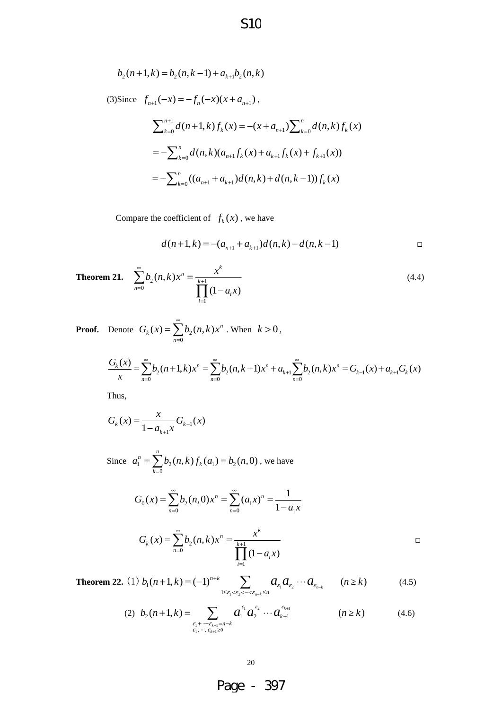$$
b_2(n+1,k) = b_2(n,k-1) + a_{k+1}b_2(n,k)
$$

(3)Since  $f_{n+1}(-x) = -f_n(-x)(x + a_{n+1}),$ 

$$
\sum_{k=0}^{n+1} d(n+1,k) f_k(x) = -(x + a_{n+1}) \sum_{k=0}^{n} d(n,k) f_k(x)
$$
  
= 
$$
-\sum_{k=0}^{n} d(n,k) (a_{n+1} f_k(x) + a_{k+1} f_k(x) + f_{k+1}(x))
$$
  
= 
$$
-\sum_{k=0}^{n} ((a_{n+1} + a_{k+1}) d(n,k) + d(n,k-1)) f_k(x)
$$

Compare the coefficient of  $f_k(x)$ , we have

$$
d(n+1,k) = -(a_{n+1} + a_{k+1})d(n,k) - d(n,k-1)
$$

**Theorem 21.** 
$$
\sum_{n=0}^{\infty} b_2(n,k)x^n = \frac{x^k}{\prod_{i=1}^{k+1} (1-a_i x)}
$$
(4.4)

**Proof.** Denote 
$$
G_k(x) = \sum_{n=0}^{\infty} b_2(n,k)x^n
$$
. When  $k > 0$ ,

$$
\frac{G_k(x)}{x} = \sum_{n=0}^{\infty} b_2(n+1,k)x^n = \sum_{n=0}^{\infty} b_2(n,k-1)x^n + a_{k+1} \sum_{n=0}^{\infty} b_2(n,k)x^n = G_{k-1}(x) + a_{k+1}G_k(x)
$$

Thus,

$$
G_k(x) = \frac{x}{1 - a_{k+1}x} G_{k-1}(x)
$$

Since  $a_1^n = \sum b_2(n, k) f_k(a_1) = b_2(n, 0)$ , we have  $\mathbf{0}$  $\sum_{i=1}^{n} b_{i}(n,k) f_{k}(a_{i}) = b_{i}(n,0)$ *k k*  $a_1^n = \sum b_2(n,k) f_k(a_1) = b_2(n)$  $=\sum_{k=0}b_2(n,k)f_k(a_1)=$ 

$$
G_0(x) = \sum_{n=0}^{\infty} b_2(n,0)x^n = \sum_{n=0}^{\infty} (a_1x)^n = \frac{1}{1 - a_1x}
$$

$$
G_k(x) = \sum_{n=0}^{\infty} b_2(n,k)x^n = \frac{x^k}{\prod_{i=1}^{k+1} (1 - a_i x)}
$$

**Theorem 22.** (1)  $b_1(n+1,k) = (-1)^{n+k}$   $\sum_{e_1} a_{e_2}$  $\epsilon_1$  2 1  $(n+1,k) = (-1)^{n+k} \sum_{1 \leq \varepsilon_1 < \varepsilon_2 < \cdots < \varepsilon_{n-k} \leq n} a_{\varepsilon_1} a_{\varepsilon_2} \cdots a_{\varepsilon_{n-k}} \qquad (n \geq k)$ *n k n k n*  $b_1(n+1,k) = (-1)^{n+k}$   $\sum_{k=1}^{\infty} a_k a_k \cdots a_{k}$   $(n \ge k)$  $\varepsilon_1$   $\varepsilon_2$   $\varepsilon_3$   $\varepsilon_5$   $\varepsilon_6$   $\varepsilon_7$   $\varepsilon_8$   $\varepsilon_8$   $\varepsilon_{n-8}$   $\varepsilon_{n-8}$ +  $(4.5) = (-1)^{n+k} \sum_{1 \le \varepsilon_1 < \varepsilon_2 < \dots < \varepsilon_{n-k} \le n} a_{\varepsilon_1} a_{\varepsilon_2} \cdots a_{\varepsilon_{n-k}} \qquad (n \ge k)$ 

(2) 
$$
b_2(n+1,k) = \sum_{\substack{\varepsilon_1 + \dots + \varepsilon_{k+1} = n-k \\ \varepsilon_1, \dots, \varepsilon_{k+1} \ge 0}} a_1^{\varepsilon_1} a_2^{\varepsilon_2} \cdots a_{k+1}^{\varepsilon_{k+1}}
$$
 \t\t\t $(n \ge k)$  (4.6)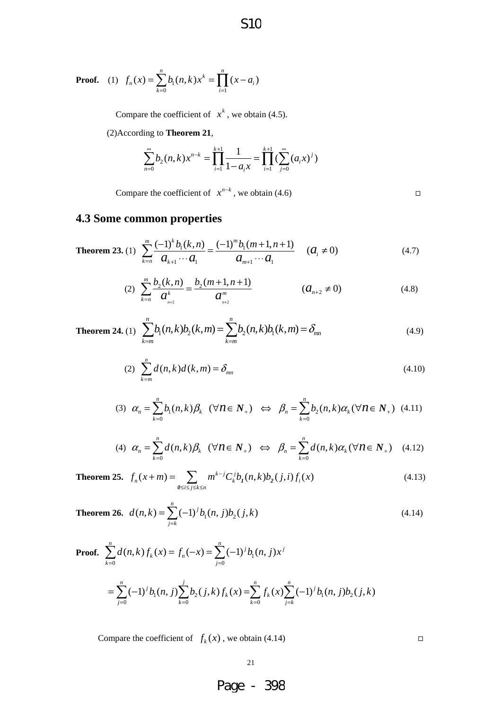**Proof.** (1) 
$$
f_n(x) = \sum_{k=0}^n b_1(n,k)x^k = \prod_{i=1}^n (x - a_i)
$$

Compare the coefficient of  $x^k$ , we obtain (4.5).

(2)According to **Theorem 21**,

$$
\sum_{n=0}^{\infty} b_2(n,k) x^{n-k} = \prod_{i=1}^{k+1} \frac{1}{1-a_i x} = \prod_{i=1}^{k+1} \left( \sum_{j=0}^{\infty} (a_i x)^j \right)
$$

S10

Compare the coefficient of  $x^{n-k}$ , we obtain (4.6)  $\Box$ 

## **4.3 Some common properties**

**Theorem 23.** (1) 
$$
\sum_{k=n}^{m} \frac{(-1)^k b_1(k,n)}{a_{k+1} \cdots a_1} = \frac{(-1)^m b_1(m+1,n+1)}{a_{m+1} \cdots a_1} \qquad (a_i \neq 0)
$$
 (4.7)

(2) 
$$
\sum_{k=n}^{m} \frac{b_2(k,n)}{a_{n+2}^k} = \frac{b_2(m+1,n+1)}{a_{n+2}^m}
$$
  $(a_{n+2} \neq 0)$  (4.8)

**Theorem 24.** (1) 
$$
\sum_{k=m}^{n} b_1(n,k)b_2(k,m) = \sum_{k=m}^{n} b_2(n,k)b_1(k,m) = \delta_{mn}
$$
 (4.9)

(2) 
$$
\sum_{k=m}^{n} d(n,k)d(k,m) = \delta_{mn}
$$
 (4.10)

$$
(3) \quad \alpha_n = \sum_{k=0}^n b_1(n,k)\beta_k \quad (\forall n \in \mathbb{N}_+) \quad \Leftrightarrow \quad \beta_n = \sum_{k=0}^n b_2(n,k)\alpha_k (\forall n \in \mathbb{N}_+) \quad (4.11)
$$

$$
(4) \quad \alpha_n = \sum_{k=0}^n d(n,k) \beta_k \quad (\forall n \in \mathbb{N}_+) \quad \Leftrightarrow \quad \beta_n = \sum_{k=0}^n d(n,k) \alpha_k (\forall n \in \mathbb{N}_+) \quad (4.12)
$$

**Theorem 25.**  $f_n(x+m) = \sum m^{k-j} C_k^j b_j(n,k) b_2(j,i) f_i(x)$ *i≤j≤k≤n*  $f_n(x+m) = \sum_{k=0}^{n} m^{k-j} C_k^{j} b_j(n,k) b_j(j,i) f_j(x)$  $(m+n) = \sum_{0 \le i \le j \le k \le n} m^{k-j} C_k^j b_l(n,k) b_j$ (4.13)

**Theorem 26.** 
$$
d(n,k) = \sum_{j=k}^{n} (-1)^{j} b_{1}(n,j) b_{2}(j,k)
$$
 (4.14)

Proof. 
$$
\sum_{k=0}^{n} d(n,k) f_k(x) = f_n(-x) = \sum_{j=0}^{n} (-1)^j b_1(n,j) x^j
$$
  
= 
$$
\sum_{j=0}^{n} (-1)^j b_1(n,j) \sum_{k=0}^{j} b_2(j,k) f_k(x) = \sum_{k=0}^{n} f_k(x) \sum_{j=k}^{n} (-1)^j b_1(n,j) b_2(j,k)
$$

Compare the coefficient of  $f_k(x)$ , we obtain (4.14)  $\Box$ 

21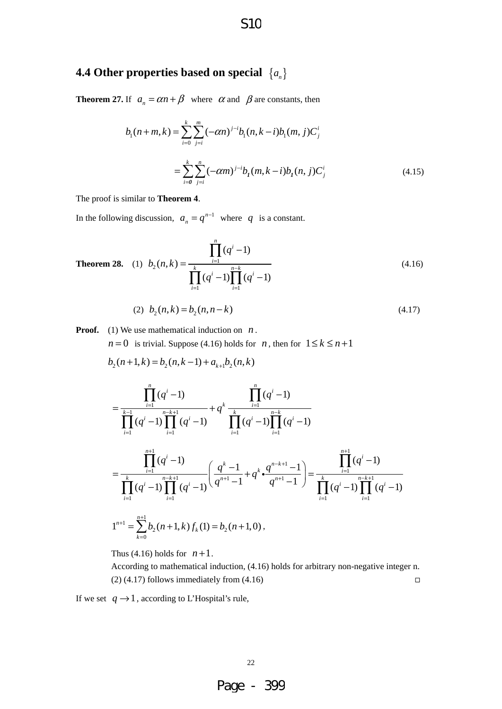# S10

# **4.4 Other properties based on special** {*an*}

**Theorem 27.** If  $a_n = \alpha n + \beta$  where  $\alpha$  and  $\beta$  are constants, then

$$
b_1(n+m,k) = \sum_{i=0}^k \sum_{j=i}^m (-\alpha n)^{j-i} b_1(n,k-i)b_1(m,j)C_j^i
$$
  
= 
$$
\sum_{i=0}^k \sum_{j=i}^n (-\alpha m)^{j-i} b_1(m,k-i)b_1(n,j)C_j^i
$$
 (4.15)

The proof is similar to **Theorem 4**.

In the following discussion,  $a_n = q^{n-1}$  where q is a constant.

**Theorem 28.** (1) 
$$
b_2(n,k) = \frac{\prod_{i=1}^{n} (q^i - 1)}{\prod_{i=1}^{k} (q^i - 1) \prod_{i=1}^{n-k} (q^i - 1)}
$$
 (4.16)

$$
(2) \ \ b_2(n,k) = b_2(n,n-k) \tag{4.17}
$$

**Proof.** (1) We use mathematical induction on *n*.

*n* = 0 is trivial. Suppose (4.16) holds for *n*, then for  $1 \le k \le n+1$ 

$$
b_2(n+1,k) = b_2(n,k-1) + a_{k+1}b_2(n,k)
$$

$$
=\frac{\prod_{i=1}^{n}(q^{i}-1)}{\prod_{i=1}^{k-1}(q^{i}-1)\prod_{i=1}^{n-k+1}(q^{i}-1)}+q^{k}\frac{\prod_{i=1}^{n}(q^{i}-1)}{\prod_{i=1}^{k}(q^{i}-1)\prod_{i=1}^{n-k}(q^{i}-1)}
$$

$$
=\frac{\prod_{i=1}^{n+1}(q^{i}-1)}{\prod_{i=1}^{k}(q^{i}-1)\prod_{i=1}^{n-k+1}(q^{i}-1)}\left(\frac{q^{k}-1}{q^{n+1}-1}+q^{k}\cdot\frac{q^{n-k+1}-1}{q^{n+1}-1}\right)=\frac{\prod_{i=1}^{n+1}(q^{i}-1)}{\prod_{i=1}^{k}(q^{i}-1)\prod_{i=1}^{n-k+1}(q^{i}-1)}
$$

$$
1^{n+1}=\sum_{k=0}^{n+1}b_{2}(n+1,k)f_{k}(1)=b_{2}(n+1,0),
$$

Thus (4.16) holds for  $n+1$ .

According to mathematical induction, (4.16) holds for arbitrary non-negative integer n.  $(2)$  (4.17) follows immediately from (4.16)  $\Box$ 

If we set  $q \rightarrow 1$ , according to L'Hospital's rule,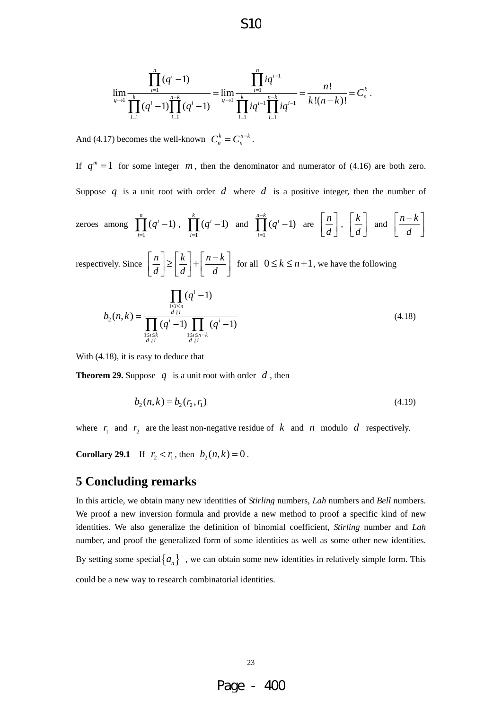$$
\lim_{q \to 1} \frac{\prod_{i=1}^{n} (q^{i} - 1)}{\prod_{i=1}^{k} (q^{i} - 1) \prod_{i=1}^{n-k} (q^{i} - 1)} = \lim_{q \to 1} \frac{\prod_{i=1}^{n} iq^{i-1}}{\prod_{i=1}^{k} iq^{i-1} \prod_{i=1}^{n-k} iq^{i-1}} = \frac{n!}{k!(n-k)!} = C_{n}^{k}
$$

.

And (4.17) becomes the well-known  $C_n^k = C_n^{n-k}$ .

If  $q^m = 1$  for some integer  $m$ , then the denominator and numerator of (4.16) are both zero. Suppose q is a unit root with order  $d$  where  $d$  is a positive integer, then the number of *n k*  $n-k$ −

zeros among 
$$
\prod_{i=1}^{n} (q^{i} - 1)
$$
,  $\prod_{i=1}^{k} (q^{i} - 1)$  and  $\prod_{i=1}^{n-k} (q^{i} - 1)$  are  $\left[\frac{n}{d}\right]$ ,  $\left[\frac{k}{d}\right]$  and  $\left[\frac{n-k}{d}\right]$ 

respectively. Since  $\left\lceil \frac{n}{n} \right\rceil \geq \left\lceil \frac{k}{n} \right\rceil + \left\lceil \frac{n-k}{n} \right\rceil$  $\left\lfloor \frac{n}{d} \right\rfloor \ge \left\lfloor \frac{k}{d} \right\rfloor + \left\lfloor \frac{n-k}{d} \right\rfloor$  for all  $0 \le k \le n+1$ , we have the following

$$
b_2(n,k) = \frac{\prod_{\substack{1 \le i \le n \\ d \mid i}} (q^i - 1)}{\prod_{\substack{1 \le i \le n \\ d \mid i}} (q^i - 1) \prod_{\substack{1 \le i \le n - k \\ d \mid i}} (q^i - 1)}
$$
(4.18)

With (4.18), it is easy to deduce that

**Theorem 29.** Suppose  $q$  is a unit root with order  $d$ , then

$$
b_2(n,k) = b_2(r_2, r_1) \tag{4.19}
$$

where  $r_1$  and  $r_2$  are the least non-negative residue of k and n modulo d respectively.

**Corollary 29.1** If  $r_2 < r_1$ , then  $b_2(n, k) = 0$ .

#### **5 Concluding remarks**

In this article, we obtain many new identities of *Stirling* numbers, *Lah* numbers and *Bell* numbers. We proof a new inversion formula and provide a new method to proof a specific kind of new identities. We also generalize the definition of binomial coefficient, *Stirling* number and *Lah* number, and proof the generalized form of some identities as well as some other new identities.

By setting some special  $\{a_n\}$ , we can obtain some new identities in relatively simple form. This could be a new way to research combinatorial identities.